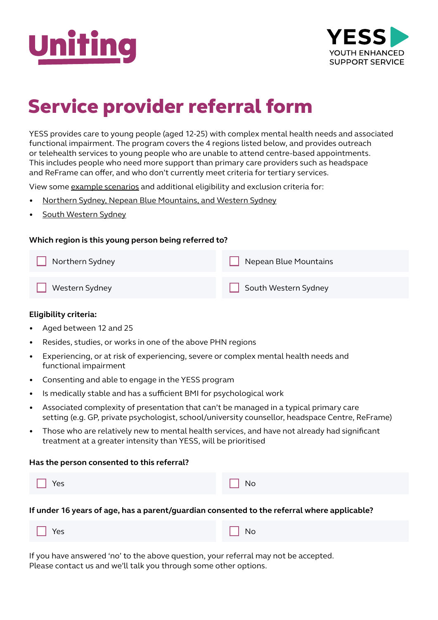



# Service provider referral form

YESS provides care to young people (aged 12-25) with complex mental health needs and associated functional impairment. The program covers the 4 regions listed below, and provides outreach or telehealth services to young people who are unable to attend centre-based appointments. This includes people who need more support than primary care providers such as headspace and ReFrame can offer, and who don't currently meet criteria for tertiary services.

View some [example scenarios](https://www.uniting.org/content/dam/uniting/documents/mental-health/yess/YESS_Eligibility_Criteria_cases.pdf) and additional eligibility and exclusion criteria for:

- [Northern Sydney, Nepean Blue Mountains, and Western Sydney](https://www.uniting.org/content/dam/uniting/documents/mental-health/yess/YESS_NS_NBM_WS_Eligibility_Criteria.pdf)
- [South Western Sydney](https://www.uniting.org/content/dam/uniting/documents/mental-health/yess/YESS_SWS_Eligibility_Criteria.pdf)

### **Which region is this young person being referred to?**

Northern Sydney Western Sydney Nepean Blue Mountains South Western Sydney

#### **Eligibility criteria:**

- Aged between 12 and 25
- Resides, studies, or works in one of the above PHN regions
- Experiencing, or at risk of experiencing, severe or complex mental health needs and functional impairment
- Consenting and able to engage in the YESS program
- Is medically stable and has a sufficient BMI for psychological work
- Associated complexity of presentation that can't be managed in a typical primary care setting (e.g. GP, private psychologist, school/university counsellor, headspace Centre, ReFrame)
- Those who are relatively new to mental health services, and have not already had significant treatment at a greater intensity than YESS, will be prioritised

#### **Has the person consented to this referral?**

| and the state of the state of the<br>$\Box$ Yes | $\Box$ No |
|-------------------------------------------------|-----------|

**If under 16 years of age, has a parent/guardian consented to the referral where applicable?**

| $\Box$ Yes<br>$\Box$ No |
|-------------------------|
|-------------------------|

If you have answered 'no' to the above question, your referral may not be accepted. Please contact us and we'll talk you through some other options.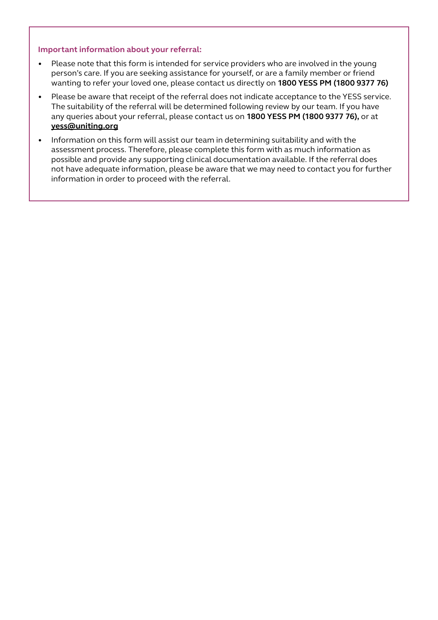#### **Important information about your referral:**

- Please note that this form is intended for service providers who are involved in the young person's care. If you are seeking assistance for yourself, or are a family member or friend wanting to refer your loved one, please contact us directly on **1800 YESS PM (1800 9377 76)**
- Please be aware that receipt of the referral does not indicate acceptance to the YESS service. The suitability of the referral will be determined following review by our team. If you have any queries about your referral, please contact us on **1800 YESS PM (1800 9377 76),** or at **yess[@uniting.org](mailto:yess%40uniting.org?subject=)**
- Information on this form will assist our team in determining suitability and with the assessment process. Therefore, please complete this form with as much information as possible and provide any supporting clinical documentation available. If the referral does not have adequate information, please be aware that we may need to contact you for further information in order to proceed with the referral.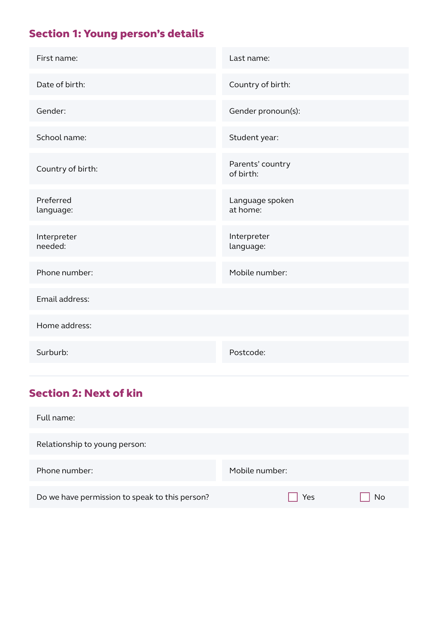# Section 1: Young person's details

| First name:            | Last name:                    |
|------------------------|-------------------------------|
| Date of birth:         | Country of birth:             |
| Gender:                | Gender pronoun(s):            |
| School name:           | Student year:                 |
| Country of birth:      | Parents' country<br>of birth: |
| Preferred<br>language: | Language spoken<br>at home:   |
| Interpreter<br>needed: | Interpreter<br>language:      |
| Phone number:          | Mobile number:                |
| Email address:         |                               |
| Home address:          |                               |
| Surburb:               | Postcode:                     |

# Section 2: Next of kin

| Full name:                                     |                |    |
|------------------------------------------------|----------------|----|
| Relationship to young person:                  |                |    |
| Phone number:                                  | Mobile number: |    |
| Do we have permission to speak to this person? | Yes            | No |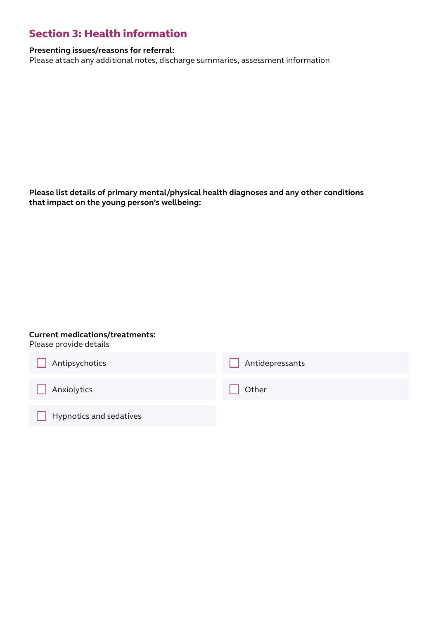### Section 3: Health information

### **Presenting issues/reasons for referral:**

Please attach any additional notes, discharge summaries, assessment information

**Please list details of primary mental/physical health diagnoses and any other conditions that impact on the young person's wellbeing:**

### **Current medications/treatments:**

Please provide details

| Antipsychotics          | Antidepressants |
|-------------------------|-----------------|
| Anxiolytics             | Other           |
| Hypnotics and sedatives |                 |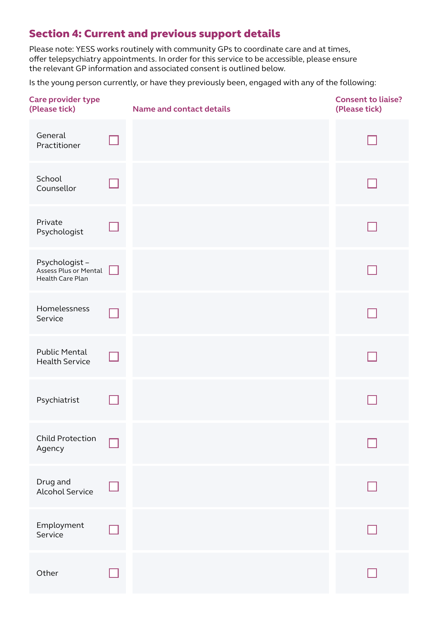# Section 4: Current and previous support details

Please note: YESS works routinely with community GPs to coordinate care and at times, offer telepsychiatry appointments. In order for this service to be accessible, please ensure the relevant GP information and associated consent is outlined below.

Is the young person currently, or have they previously been, engaged with any of the following:

| <b>Care provider type</b><br>(Please tick)                 |   | <b>Name and contact details</b> | <b>Consent to liaise?</b><br>(Please tick) |
|------------------------------------------------------------|---|---------------------------------|--------------------------------------------|
| General<br>Practitioner                                    |   |                                 |                                            |
| School<br>Counsellor                                       |   |                                 |                                            |
| Private<br>Psychologist                                    |   |                                 |                                            |
| Psychologist-<br>Assess Plus or Mental<br>Health Care Plan | H |                                 |                                            |
| Homelessness<br>Service                                    |   |                                 |                                            |
| <b>Public Mental</b><br><b>Health Service</b>              |   |                                 |                                            |
| Psychiatrist                                               |   |                                 |                                            |
| Child Protection<br>Agency                                 |   |                                 |                                            |
| Drug and<br><b>Alcohol Service</b>                         |   |                                 |                                            |
| Employment<br>Service                                      |   |                                 |                                            |
| Other                                                      |   |                                 |                                            |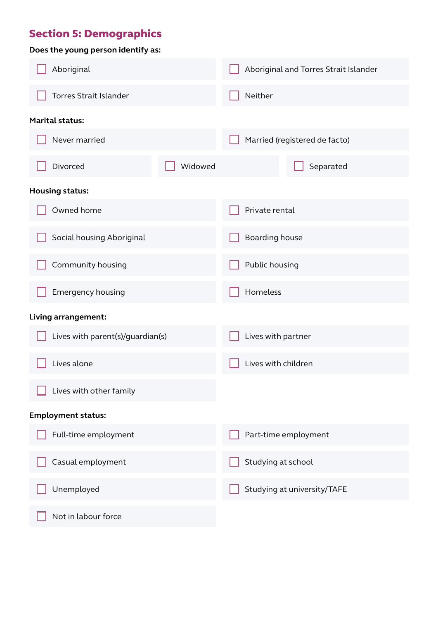### Section 5: Demographics

| Does the young person identify as: |         |                               |                                       |  |
|------------------------------------|---------|-------------------------------|---------------------------------------|--|
| Aboriginal                         |         |                               | Aboriginal and Torres Strait Islander |  |
| Torres Strait Islander             |         | Neither                       |                                       |  |
| <b>Marital status:</b>             |         |                               |                                       |  |
| Never married                      |         | Married (registered de facto) |                                       |  |
| Divorced                           | Widowed |                               | Separated                             |  |
| <b>Housing status:</b>             |         |                               |                                       |  |
| Owned home                         |         | Private rental                |                                       |  |
| Social housing Aboriginal          |         | Boarding house                |                                       |  |
| Community housing                  |         | Public housing                |                                       |  |
| Emergency housing                  |         | Homeless                      |                                       |  |
| Living arrangement:                |         |                               |                                       |  |
| Lives with parent(s)/guardian(s)   |         | Lives with partner            |                                       |  |
| Lives alone                        |         | Lives with children           |                                       |  |
| Lives with other family            |         |                               |                                       |  |
| <b>Employment status:</b>          |         |                               |                                       |  |
| Full-time employment               |         | Part-time employment          |                                       |  |
| Casual employment                  |         | Studying at school            |                                       |  |
| Unemployed                         |         | Studying at university/TAFE   |                                       |  |
| Not in labour force                |         |                               |                                       |  |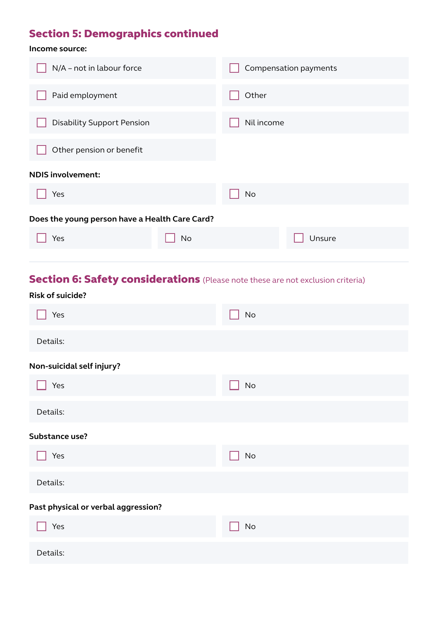# Section 5: Demographics continued

### **Income source:**

| <b>No</b> |  |
|-----------|--|
|           |  |
|           |  |
|           |  |

# Section 6: Safety considerations (Please note these are not exclusion criteria)

| <b>Risk of suicide?</b>             |                              |
|-------------------------------------|------------------------------|
| Yes                                 | $\operatorname{\mathsf{No}}$ |
| Details:                            |                              |
| Non-suicidal self injury?           |                              |
| Yes                                 | No                           |
| Details:                            |                              |
| Substance use?                      |                              |
| Yes                                 | $\mathsf{No}$                |
| Details:                            |                              |
| Past physical or verbal aggression? |                              |
| Yes                                 | $\operatorname{\mathsf{No}}$ |
| Details:                            |                              |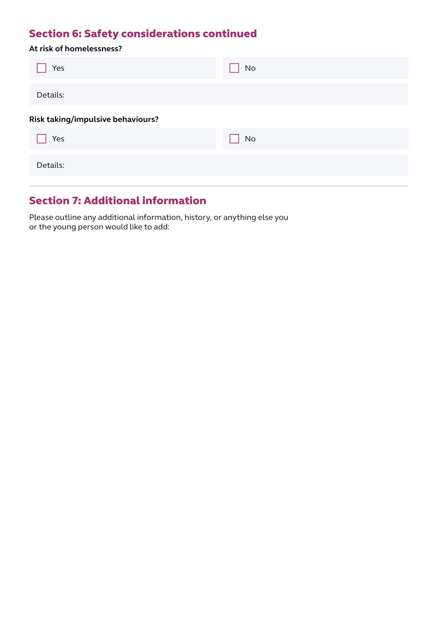# Section 6: Safety considerations continued

|  | At risk of homelessness? |  |
|--|--------------------------|--|
|--|--------------------------|--|

| Yes                               | No        |
|-----------------------------------|-----------|
| Details:                          |           |
| Risk taking/impulsive behaviours? |           |
| Yes                               | <b>No</b> |
| Details:                          |           |

### Section 7: Additional information

Please outline any additional information, history, or anything else you or the young person would like to add: